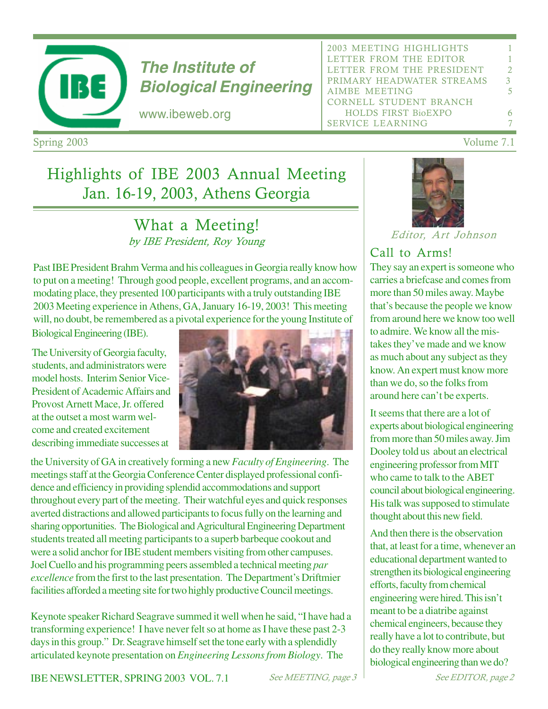

# **The Institute of Biological Engineering**

www.ibeweb.org

| 2003 MEETING HIGHLIGHTS    | 1             |  |  |  |
|----------------------------|---------------|--|--|--|
| LETTER FROM THE EDITOR     | 1             |  |  |  |
| LETTER FROM THE PRESIDENT  | $\mathcal{D}$ |  |  |  |
| PRIMARY HEADWATER STREAMS  | 3             |  |  |  |
| AIMBE MEETING              | 5             |  |  |  |
| CORNELL STUDENT BRANCH     |               |  |  |  |
| <b>HOLDS FIRST BioEXPO</b> |               |  |  |  |
| <b>SERVICE LEARNING</b>    |               |  |  |  |
|                            |               |  |  |  |

Spring 2003

# Highlights of IBE 2003 Annual Meeting Jan. 16-19, 2003, Athens Georgia

# What a Meeting! by IBE President, Roy Young

Past IBE President Brahm Verma and his colleagues in Georgia really know how to put on a meeting! Through good people, excellent programs, and an accommodating place, they presented 100 participants with a truly outstanding IBE 2003 Meeting experience in Athens, GA, January 16-19, 2003! This meeting will, no doubt, be remembered as a pivotal experience for the young Institute of

Biological Engineering (IBE).

The University of Georgia faculty, students, and administrators were model hosts. Interim Senior Vice-President of Academic Affairs and Provost Arnett Mace, Jr. offered at the outset a most warm welcome and created excitement describing immediate successes at



the University of GA in creatively forming a new *Faculty of Engineering*. The meetings staff at the Georgia Conference Center displayed professional confidence and efficiency in providing splendid accommodations and support throughout every part of the meeting. Their watchful eyes and quick responses averted distractions and allowed participants to focus fully on the learning and sharing opportunities. The Biological and Agricultural Engineering Department students treated all meeting participants to a superb barbeque cookout and were a solid anchor for IBE student members visiting from other campuses. Joel Cuello and his programming peers assembled a technical meeting *par excellence* from the first to the last presentation. The Department's Driftmier facilities afforded a meeting site for two highly productive Council meetings.

Keynote speaker Richard Seagrave summed it well when he said, "I have had a transforming experience! I have never felt so at home as I have these past 2-3 days in this group." Dr. Seagrave himself set the tone early with a splendidly articulated keynote presentation on *Engineering Lessons from Biology*. The



Editor, Art Johnson

# Call to Arms!

They say an expert is someone who carries a briefcase and comes from more than 50 miles away. Maybe that's because the people we know from around here we know too well to admire. We know all the mistakes they've made and we know as much about any subject as they know. An expert must know more than we do, so the folks from around here can't be experts.

It seems that there are a lot of experts about biological engineering from more than 50 miles away. Jim Dooley told us about an electrical engineering professor from MIT who came to talk to the ABET council about biological engineering. His talk was supposed to stimulate thought about this new field.

And then there is the observation that, at least for a time, whenever an educational department wanted to strengthen its biological engineering efforts, faculty from chemical engineering were hired. This isn't meant to be a diatribe against chemical engineers, because they really have a lot to contribute, but do they really know more about biological engineering than we do?

IBE NEWSLETTER, SPRING 2003 VOL. 7.1

See MEETING, page  $-3$   $\sqrt{3}$ 

 $3 \text{ Volume } 7.1$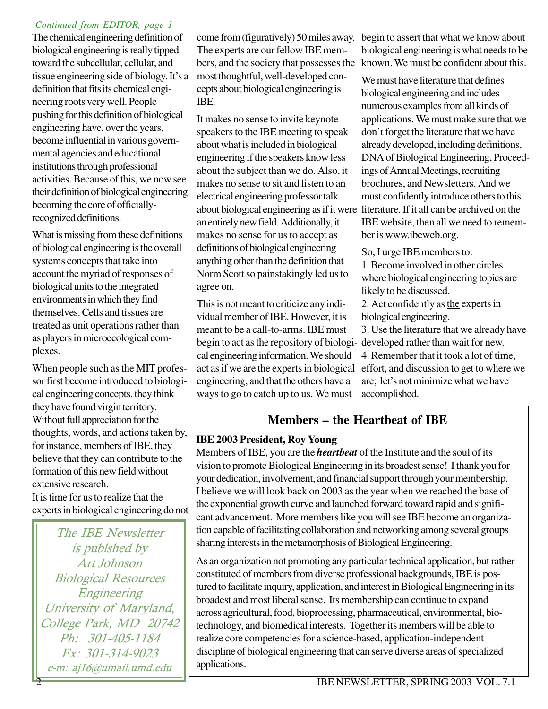#### *Continued from EDITOR, page 1*

The chemical engineering definition of biological engineering is really tipped toward the subcellular, cellular, and tissue engineering side of biology. It's a definition that fits its chemical engineering roots very well. People pushing for this definition of biological engineering have, over the years, become influential in various governmental agencies and educational institutions through professional activities. Because of this, we now see their definition of biological engineering becoming the core of officiallyrecognized definitions.

What is missing from these definitions of biological engineering is the overall systems concepts that take into account the myriad of responses of biological units to the integrated environments in which they find themselves. Cells and tissues are treated as unit operations rather than as players in microecological complexes.

When people such as the MIT professor first become introduced to biological engineering concepts, they think they have found virgin territory. Without full appreciation for the thoughts, words, and actions taken by, for instance, members of IBE, they believe that they can contribute to the formation of this new field without extensive research.

It is time for us to realize that the experts in biological engineering do not

The IBE Newsletter is publshed by Art Johnson Biological Resources Engineering University of Maryland, College Park, MD 20742 Ph: 301-405-1184  $Fx: 301-314-9023$ e-m: aj16@umail.umd.edu

The experts are our fellow IBE members, and the society that possesses the most thoughtful, well-developed concepts about biological engineering is IBE.

It makes no sense to invite keynote speakers to the IBE meeting to speak about what is included in biological engineering if the speakers know less about the subject than we do. Also, it makes no sense to sit and listen to an electrical engineering professor talk an entirely new field. Additionally, it makes no sense for us to accept as definitions of biological engineering anything other than the definition that Norm Scott so painstakingly led us to agree on.

This is not meant to criticize any individual member of IBE. However, it is meant to be a call-to-arms. IBE must begin to act as the repository of biologi-developed rather than wait for new. cal engineering information. We should engineering, and that the others have a ways to go to catch up to us. We must

come from (figuratively) 50 miles away. begin to assert that what we know about biological engineering is what needs to be known. We must be confident about this.

about biological engineering as if it were literature. If it all can be archived on the We must have literature that defines biological engineering and includes numerous examples from all kinds of applications. We must make sure that we don't forget the literature that we have already developed, including definitions, DNA of Biological Engineering, Proceedings of Annual Meetings, recruiting brochures, and Newsletters. And we must confidently introduce others to this IBE website, then all we need to remember is www.ibeweb.org.

So, I urge IBE members to:

1. Become involved in other circles where biological engineering topics are likely to be discussed.

2. Act confidently as the experts in biological engineering.

act as if we are the experts in biological effort, and discussion to get to where we 3. Use the literature that we already have 4. Remember that it took a lot of time, are; let's not minimize what we have accomplished.

# **Members – the Heartbeat of IBE**

#### **IBE 2003 President, Roy Young**

Members of IBE, you are the *heartbeat* of the Institute and the soul of its vision to promote Biological Engineering in its broadest sense! I thank you for your dedication, involvement, and financial support through your membership. I believe we will look back on 2003 as the year when we reached the base of the exponential growth curve and launched forward toward rapid and significant advancement. More members like you will see IBE become an organization capable of facilitating collaboration and networking among several groups sharing interests in the metamorphosis of Biological Engineering.

As an organization not promoting any particular technical application, but rather constituted of members from diverse professional backgrounds, IBE is postured to facilitate inquiry, application, and interest in Biological Engineering in its broadest and most liberal sense. Its membership can continue to expand across agricultural, food, bioprocessing, pharmaceutical, environmental, biotechnology, and biomedical interests. Together its members will be able to realize core competencies for a science-based, application-independent discipline of biological engineering that can serve diverse areas of specialized applications.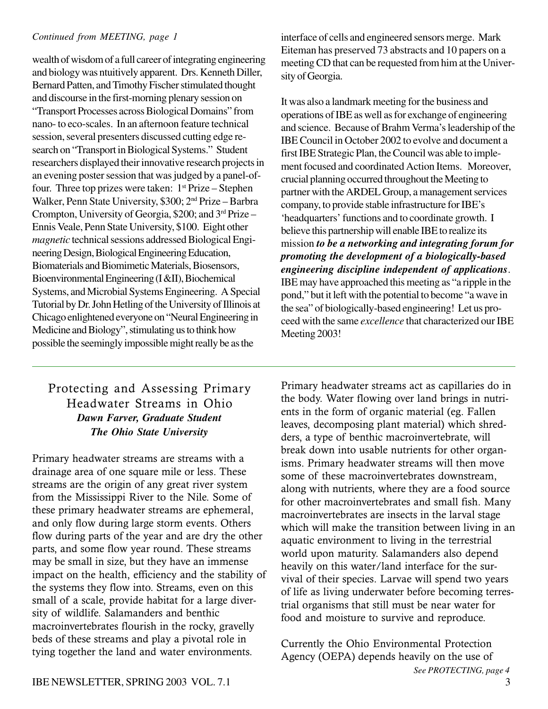wealth of wisdom of a full career of integrating engineering and biology was ntuitively apparent. Drs. Kenneth Diller, Bernard Patten, and Timothy Fischer stimulated thought and discourse in the first-morning plenary session on "Transport Processes across Biological Domains" from nano- to eco-scales. In an afternoon feature technical session, several presenters discussed cutting edge research on "Transport in Biological Systems." Student researchers displayed their innovative research projects in an evening poster session that was judged by a panel-offour. Three top prizes were taken:  $1<sup>st</sup> Prize - Stephen$ Walker, Penn State University, \$300; 2nd Prize – Barbra Crompton, University of Georgia, \$200; and 3rd Prize – Ennis Veale, Penn State University, \$100. Eight other *magnetic* technical sessions addressed Biological Engineering Design, Biological Engineering Education, Biomaterials and Biomimetic Materials, Biosensors, Bioenvironmental Engineering (I &II), Biochemical Systems, and Microbial Systems Engineering. A Special Tutorial by Dr. John Hetling of the University of Illinois at Chicago enlightened everyone on "Neural Engineering in Medicine and Biology", stimulating us to think how possible the seemingly impossible might really be as the

## Protecting and Assessing Primary Headwater Streams in Ohio *Dawn Farver, Graduate Student The Ohio State University*

Primary headwater streams are streams with a drainage area of one square mile or less. These streams are the origin of any great river system from the Mississippi River to the Nile. Some of these primary headwater streams are ephemeral, and only flow during large storm events. Others flow during parts of the year and are dry the other parts, and some flow year round. These streams may be small in size, but they have an immense impact on the health, efficiency and the stability of the systems they flow into. Streams, even on this small of a scale, provide habitat for a large diversity of wildlife. Salamanders and benthic macroinvertebrates flourish in the rocky, gravelly beds of these streams and play a pivotal role in tying together the land and water environments.

*Continued from MEETING, page 1* interface of cells and engineered sensors merge. Mark Eiteman has preserved 73 abstracts and 10 papers on a meeting CD that can be requested from him at the University of Georgia.

> It was also a landmark meeting for the business and operations of IBE as well as for exchange of engineering and science. Because of Brahm Verma's leadership of the IBE Council in October 2002 to evolve and document a first IBE Strategic Plan, the Council was able to implement focused and coordinated Action Items. Moreover, crucial planning occurred throughout the Meeting to partner with the ARDEL Group, a management services company, to provide stable infrastructure for IBE's 'headquarters' functions and to coordinate growth. I believe this partnership will enable IBE to realize its mission *to be a networking and integrating forum for promoting the development of a biologically-based engineering discipline independent of applications*. IBE may have approached this meeting as "a ripple in the pond," but it left with the potential to become "a wave in the sea" of biologically-based engineering! Let us proceed with the same *excellence* that characterized our IBE Meeting 2003!

> Primary headwater streams act as capillaries do in the body. Water flowing over land brings in nutrients in the form of organic material (eg. Fallen leaves, decomposing plant material) which shredders, a type of benthic macroinvertebrate, will break down into usable nutrients for other organisms. Primary headwater streams will then move some of these macroinvertebrates downstream. along with nutrients, where they are a food source for other macroinvertebrates and small fish. Many macroinvertebrates are insects in the larval stage which will make the transition between living in an aquatic environment to living in the terrestrial world upon maturity. Salamanders also depend heavily on this water/land interface for the survival of their species. Larvae will spend two years of life as living underwater before becoming terrestrial organisms that still must be near water for food and moisture to survive and reproduce.

Currently the Ohio Environmental Protection Agency (OEPA) depends heavily on the use of *See PROTECTING, page 4*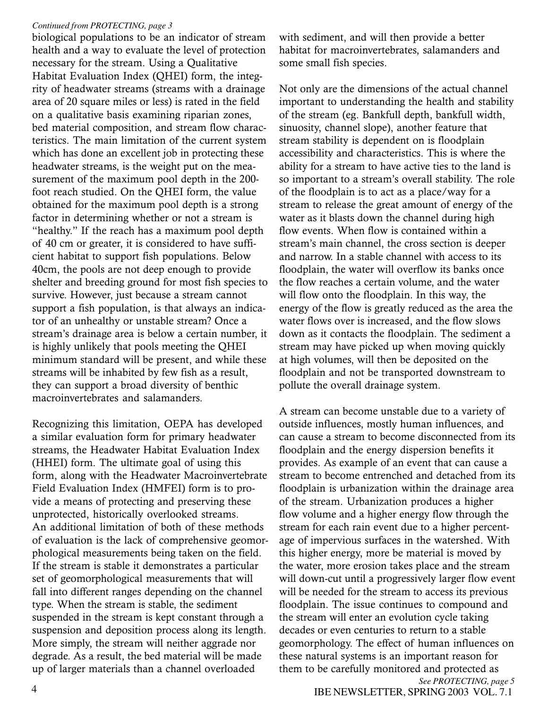#### Continued from PROTECTING, page 3

biological populations to be an indicator of stream health and a way to evaluate the level of protection necessary for the stream. Using a Qualitative Habitat Evaluation Index (QHEI) form, the integrity of headwater streams (streams with a drainage area of 20 square miles or less) is rated in the field on a qualitative basis examining riparian zones, bed material composition, and stream flow characteristics. The main limitation of the current system which has done an excellent job in protecting these headwater streams, is the weight put on the measurement of the maximum pool depth in the 200foot reach studied. On the QHEI form, the value obtained for the maximum pool depth is a strong factor in determining whether or not a stream is "healthy." If the reach has a maximum pool depth of 40 cm or greater, it is considered to have sufficient habitat to support fish populations. Below 40cm, the pools are not deep enough to provide shelter and breeding ground for most fish species to survive. However, just because a stream cannot support a fish population, is that always an indicator of an unhealthy or unstable stream? Once a stream's drainage area is below a certain number, it is highly unlikely that pools meeting the QHEI minimum standard will be present, and while these streams will be inhabited by few fish as a result, they can support a broad diversity of benthic macroinvertebrates and salamanders

Recognizing this limitation, OEPA has developed a similar evaluation form for primary headwater streams, the Headwater Habitat Evaluation Index (HHEI) form. The ultimate goal of using this form, along with the Headwater Macroinvertebrate Field Evaluation Index (HMFEI) form is to provide a means of protecting and preserving these unprotected, historically overlooked streams. An additional limitation of both of these methods of evaluation is the lack of comprehensive geomorphological measurements being taken on the field. If the stream is stable it demonstrates a particular set of geomorphological measurements that will fall into different ranges depending on the channel type. When the stream is stable, the sediment suspended in the stream is kept constant through a suspension and deposition process along its length. More simply, the stream will neither aggrade nor degrade. As a result, the bed material will be made up of larger materials than a channel overloaded

with sediment, and will then provide a better habitat for macroinvertebrates, salamanders and some small fish species.

Not only are the dimensions of the actual channel important to understanding the health and stability of the stream (eg. Bankfull depth, bankfull width, sinuosity, channel slope), another feature that stream stability is dependent on is floodplain accessibility and characteristics. This is where the ability for a stream to have active ties to the land is so important to a stream's overall stability. The role of the floodplain is to act as a place/way for a stream to release the great amount of energy of the water as it blasts down the channel during high flow events. When flow is contained within a stream's main channel, the cross section is deeper and narrow. In a stable channel with access to its floodplain, the water will overflow its banks once the flow reaches a certain volume, and the water will flow onto the floodplain. In this way, the energy of the flow is greatly reduced as the area the water flows over is increased, and the flow slows down as it contacts the floodplain. The sediment a stream may have picked up when moving quickly at high volumes, will then be deposited on the floodplain and not be transported downstream to pollute the overall drainage system.

A stream can become unstable due to a variety of outside influences, mostly human influences, and can cause a stream to become disconnected from its floodplain and the energy dispersion benefits it provides. As example of an event that can cause a stream to become entrenched and detached from its floodplain is urbanization within the drainage area of the stream. Urbanization produces a higher flow volume and a higher energy flow through the stream for each rain event due to a higher percentage of impervious surfaces in the watershed. With this higher energy, more be material is moved by the water, more erosion takes place and the stream will down-cut until a progressively larger flow event will be needed for the stream to access its previous floodplain. The issue continues to compound and the stream will enter an evolution cycle taking decades or even centuries to return to a stable geomorphology. The effect of human influences on these natural systems is an important reason for them to be carefully monitored and protected as See PROTECTING, page 5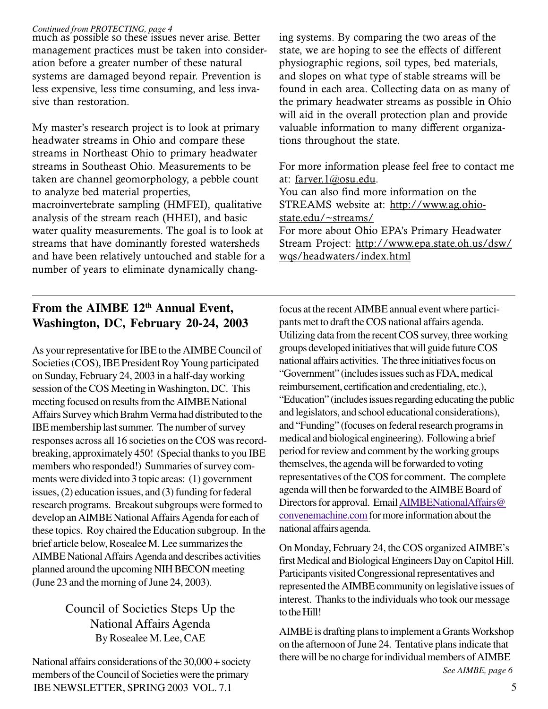#### *Continued from PROTECTING, page 4*

much as possible so these issues never arise. Better management practices must be taken into consideration before a greater number of these natural systems are damaged beyond repair. Prevention is less expensive, less time consuming, and less invasive than restoration.

My master's research project is to look at primary headwater streams in Ohio and compare these streams in Northeast Ohio to primary headwater streams in Southeast Ohio. Measurements to be taken are channel geomorphology, a pebble count to analyze bed material properties, macroinvertebrate sampling (HMFEI), qualitative analysis of the stream reach (HHEI), and basic water quality measurements. The goal is to look at streams that have dominantly forested watersheds and have been relatively untouched and stable for a number of years to eliminate dynamically chang-

# From the AIMBE 12<sup>th</sup> Annual Event, **Washington, DC, February 20-24, 2003**

As your representative for IBE to the AIMBE Council of Societies (COS), IBE President Roy Young participated on Sunday, February 24, 2003 in a half-day working session of the COS Meeting in Washington, DC. This meeting focused on results from the AIMBE National Affairs Survey which Brahm Verma had distributed to the IBE membership last summer. The number of survey responses across all 16 societies on the COS was recordbreaking, approximately 450! (Special thanks to you IBE members who responded!) Summaries of survey comments were divided into 3 topic areas: (1) government issues, (2) education issues, and (3) funding for federal research programs. Breakout subgroups were formed to develop an AIMBE National Affairs Agenda for each of these topics. Roy chaired the Education subgroup. In the brief article below, Rosealee M. Lee summarizes the AIMBE National Affairs Agenda and describes activities planned around the upcoming NIH BECON meeting (June 23 and the morning of June 24, 2003).

# Council of Societies Steps Up the National Affairs Agenda By Rosealee M. Lee, CAE

National affairs considerations of the 30,000 + society members of the Council of Societies were the primary IBE NEWSLETTER, SPRING 2003 VOL. 7.1 5

ing systems. By comparing the two areas of the state, we are hoping to see the effects of different physiographic regions, soil types, bed materials, and slopes on what type of stable streams will be found in each area. Collecting data on as many of the primary headwater streams as possible in Ohio will aid in the overall protection plan and provide valuable information to many different organizations throughout the state.

For more information please feel free to contact me at: farver.1@osu.edu. You can also find more information on the STREAMS website at: http://www.ag.ohiostate.edu/~streams/ For more about Ohio EPA's Primary Headwater Stream Project: http://www.epa.state.oh.us/dsw/ wqs/headwaters/index.html

focus at the recent AIMBE annual event where participants met to draft the COS national affairs agenda. Utilizing data from the recent COS survey, three working groups developed initiatives that will guide future COS national affairs activities. The three initiatives focus on "Government" (includes issues such as FDA, medical reimbursement, certification and credentialing, etc.), "Education" (includes issues regarding educating the public and legislators, and school educational considerations), and "Funding" (focuses on federal research programs in medical and biological engineering). Following a brief period for review and comment by the working groups themselves, the agenda will be forwarded to voting representatives of the COS for comment. The complete agenda will then be forwarded to the AIMBE Board of Directors for approval. Email AIMBENationalAffairs@ convenemachine.com for more information about the national affairs agenda.

On Monday, February 24, the COS organized AIMBE's first Medical and Biological Engineers Day on Capitol Hill. Participants visited Congressional representatives and represented the AIMBE community on legislative issues of interest. Thanks to the individuals who took our message to the Hill!

AIMBE is drafting plans to implement a Grants Workshop on the afternoon of June 24. Tentative plans indicate that there will be no charge for individual members of AIMBE *See AIMBE, page 6*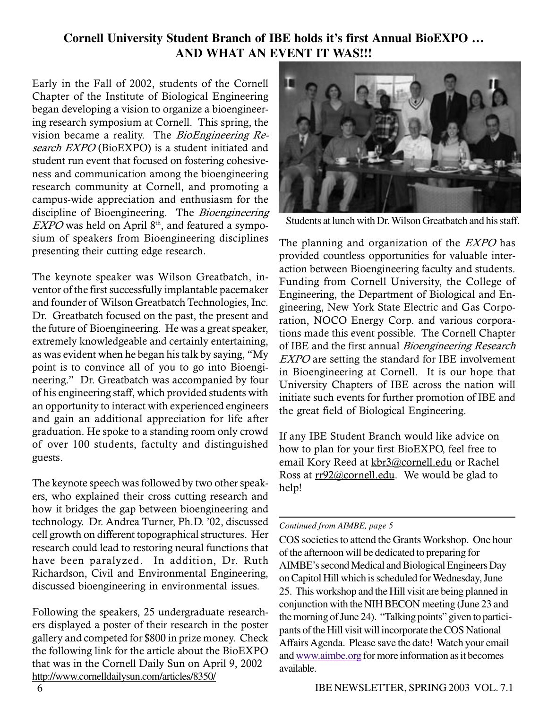# **Cornell University Student Branch of IBE holds it's first Annual BioEXPO … AND WHAT AN EVENT IT WAS!!!**

Early in the Fall of 2002, students of the Cornell Chapter of the Institute of Biological Engineering began developing a vision to organize a bioengineering research symposium at Cornell. This spring, the vision became a reality. The *BioEngineering Re*search EXPO (BioEXPO) is a student initiated and student run event that focused on fostering cohesiveness and communication among the bioengineering research community at Cornell, and promoting a campus-wide appreciation and enthusiasm for the discipline of Bioengineering. The Bioengineering  $EXPO$  was held on April  $8<sup>th</sup>$ , and featured a symposium of speakers from Bioengineering disciplines presenting their cutting edge research.

The keynote speaker was Wilson Greatbatch, inventor of the first successfully implantable pacemaker and founder of Wilson Greatbatch Technologies, Inc. Dr. Greatbatch focused on the past, the present and the future of Bioengineering. He was a great speaker, extremely knowledgeable and certainly entertaining, as was evident when he began his talk by saying, "My point is to convince all of you to go into Bioengineering." Dr. Greatbatch was accompanied by four of his engineering staff, which provided students with an opportunity to interact with experienced engineers and gain an additional appreciation for life after graduation. He spoke to a standing room only crowd of over 100 students, factulty and distinguished guests.

The keynote speech was followed by two other speakers, who explained their cross cutting research and how it bridges the gap between bioengineering and technology. Dr. Andrea Turner, Ph.D. '02, discussed cell growth on different topographical structures. Her research could lead to restoring neural functions that have been paralyzed. In addition, Dr. Ruth Richardson, Civil and Environmental Engineering, discussed bioengineering in environmental issues.

Following the speakers, 25 undergraduate researchers displayed a poster of their research in the poster gallery and competed for \$800 in prize money. Check the following link for the article about the BioEXPO that was in the Cornell Daily Sun on April 9, 2002 http://www.cornelldailysun.com/articles/8350/



Students at lunch with Dr. Wilson Greatbatch and his staff.

The planning and organization of the *EXPO* has provided countless opportunities for valuable interaction between Bioengineering faculty and students. Funding from Cornell University, the College of Engineering, the Department of Biological and Engineering, New York State Electric and Gas Corporation, NOCO Energy Corp. and various corporations made this event possible. The Cornell Chapter of IBE and the first annual *Bioengineering Research* EXPO are setting the standard for IBE involvement in Bioengineering at Cornell. It is our hope that University Chapters of IBE across the nation will initiate such events for further promotion of IBE and the great field of Biological Engineering.

If any IBE Student Branch would like advice on how to plan for your first BioEXPO, feel free to email Kory Reed at <u>kbr3@cornell.edu</u> or Rachel Ross at rr92@cornell.edu. We would be glad to help!

#### *Continued from AIMBE, page 5*

COS societies to attend the Grants Workshop. One hour of the afternoon will be dedicated to preparing for AIMBE's second Medical and Biological Engineers Day on Capitol Hill which is scheduled for Wednesday, June 25. This workshop and the Hill visit are being planned in conjunction with the NIH BECON meeting (June 23 and the morning of June 24). "Talking points" given to participants of the Hill visit will incorporate the COS National Affairs Agenda. Please save the date! Watch your email and www.aimbe.org for more information as it becomes available.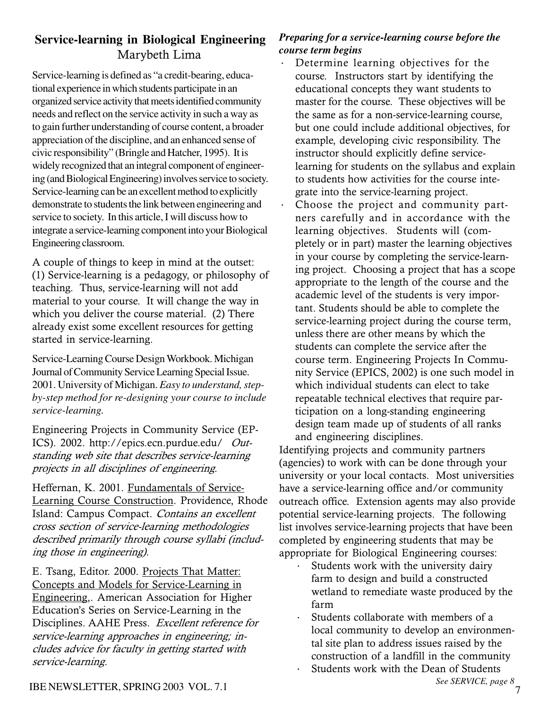# **Service-learning in Biological Engineering** Marybeth Lima

Service-learning is defined as "a credit-bearing, educational experience in which students participate in an organized service activity that meets identified community needs and reflect on the service activity in such a way as to gain further understanding of course content, a broader appreciation of the discipline, and an enhanced sense of civic responsibility" (Bringle and Hatcher, 1995). It is widely recognized that an integral component of engineering (and Biological Engineering) involves service to society. Service-learning can be an excellent method to explicitly demonstrate to students the link between engineering and service to society. In this article, I will discuss how to integrate a service-learning component into your Biological Engineering classroom.

A couple of things to keep in mind at the outset: (1) Service-learning is a pedagogy, or philosophy of teaching. Thus, service-learning will not add material to your course. It will change the way in which you deliver the course material. (2) There already exist some excellent resources for getting started in service-learning.

Service-Learning Course Design Workbook. Michigan Journal of Community Service Learning Special Issue. 2001. University of Michigan. *Easy to understand, stepby-step method for re-designing your course to include service-learning.*

Engineering Projects in Community Service (EP-ICS). 2002. http://epics.ecn.purdue.edu/ Outstanding web site that describes service-learning projects in all disciplines of engineering.

Heffernan, K. 2001. Fundamentals of Service-Learning Course Construction. Providence, Rhode Island: Campus Compact. Contains an excellent cross section of service-learning methodologies described primarily through course syllabi (including those in engineering).

E. Tsang, Editor. 2000. Projects That Matter: Concepts and Models for Service-Learning in Engineering,. American Association for Higher Education's Series on Service-Learning in the Disciplines. AAHE Press. Excellent reference for service-learning approaches in engineering; includes advice for faculty in getting started with service-learning.

## *Preparing for a service-learning course before the course term begins*

- · Determine learning objectives for the course. Instructors start by identifying the educational concepts they want students to master for the course. These objectives will be the same as for a non-service-learning course, but one could include additional objectives, for example, developing civic responsibility. The instructor should explicitly define servicelearning for students on the syllabus and explain to students how activities for the course integrate into the service-learning project.
- · Choose the project and community partners carefully and in accordance with the learning objectives. Students will (completely or in part) master the learning objectives in your course by completing the service-learning project. Choosing a project that has a scope appropriate to the length of the course and the academic level of the students is very important. Students should be able to complete the service-learning project during the course term, unless there are other means by which the students can complete the service after the course term. Engineering Projects In Community Service (EPICS, 2002) is one such model in which individual students can elect to take repeatable technical electives that require participation on a long-standing engineering design team made up of students of all ranks and engineering disciplines.

Identifying projects and community partners (agencies) to work with can be done through your university or your local contacts. Most universities have a service-learning office and/or community outreach office. Extension agents may also provide potential service-learning projects. The following list involves service-learning projects that have been completed by engineering students that may be appropriate for Biological Engineering courses:

- Students work with the university dairy farm to design and build a constructed wetland to remediate waste produced by the farm
- Students collaborate with members of a local community to develop an environmental site plan to address issues raised by the construction of a landfill in the community
- Students work with the Dean of Students<br>See SERVICE, page 8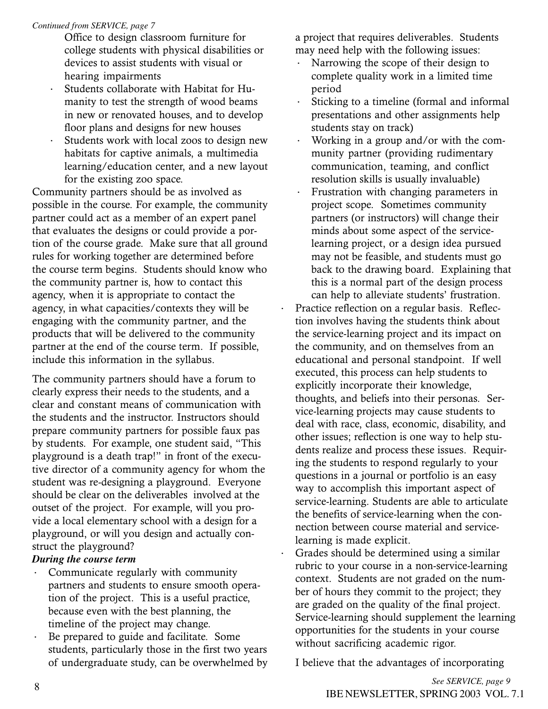#### Continued from SERVICE, page 7

- Office to design classroom furniture for college students with physical disabilities or devices to assist students with visual or hearing impairments
- Students collaborate with Habitat for Humanity to test the strength of wood beams in new or renovated houses, and to develop floor plans and designs for new houses
- Students work with local zoos to design new habitats for captive animals, a multimedia learning/education center, and a new layout for the existing zoo space.

Community partners should be as involved as possible in the course. For example, the community partner could act as a member of an expert panel that evaluates the designs or could provide a portion of the course grade. Make sure that all ground rules for working together are determined before the course term begins. Students should know who the community partner is, how to contact this agency, when it is appropriate to contact the agency, in what capacities/contexts they will be engaging with the community partner, and the products that will be delivered to the community partner at the end of the course term. If possible, include this information in the syllabus.

The community partners should have a forum to clearly express their needs to the students, and a clear and constant means of communication with the students and the instructor. Instructors should prepare community partners for possible faux pas by students. For example, one student said, "This playground is a death trap!" in front of the executive director of a community agency for whom the student was re-designing a playground. Everyone should be clear on the deliverables involved at the outset of the project. For example, will you provide a local elementary school with a design for a playground, or will you design and actually construct the playground?

#### During the course term

- Communicate regularly with community partners and students to ensure smooth operation of the project. This is a useful practice, because even with the best planning, the timeline of the project may change.
- Be prepared to guide and facilitate. Some students, particularly those in the first two years of undergraduate study, can be overwhelmed by

a project that requires deliverables. Students may need help with the following issues:

- Narrowing the scope of their design to complete quality work in a limited time period
- Sticking to a timeline (formal and informal presentations and other assignments help students stay on track)
- Working in a group and/or with the community partner (providing rudimentary communication, teaming, and conflict resolution skills is usually invaluable)
- Frustration with changing parameters in project scope. Sometimes community partners (or instructors) will change their minds about some aspect of the servicelearning project, or a design idea pursued may not be feasible, and students must go back to the drawing board. Explaining that this is a normal part of the design process can help to alleviate students' frustration.

 $\ddot{\phantom{0}}$ 

 $\ddot{\phantom{0}}$ 

- Practice reflection on a regular basis. Reflection involves having the students think about the service-learning project and its impact on the community, and on themselves from an educational and personal standpoint. If well executed, this process can help students to explicitly incorporate their knowledge, thoughts, and beliefs into their personas. Service-learning projects may cause students to deal with race, class, economic, disability, and other issues; reflection is one way to help students realize and process these issues. Requiring the students to respond regularly to your questions in a journal or portfolio is an easy way to accomplish this important aspect of service-learning. Students are able to articulate the benefits of service-learning when the connection between course material and servicelearning is made explicit.
- Grades should be determined using a similar rubric to your course in a non-service-learning context. Students are not graded on the number of hours they commit to the project; they are graded on the quality of the final project. Service-learning should supplement the learning opportunities for the students in your course without sacrificing academic rigor.

I believe that the advantages of incorporating